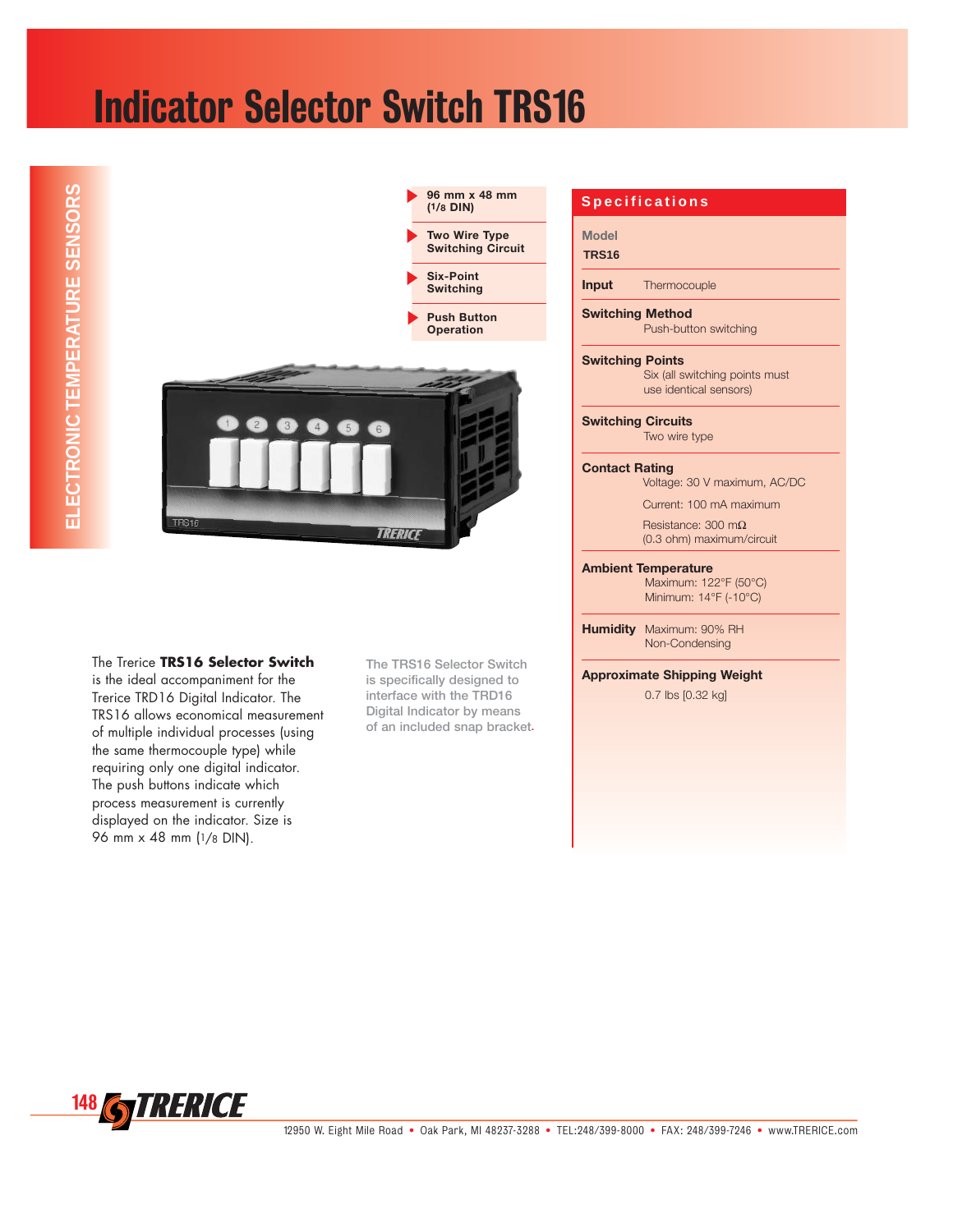## Indicator Selector Switch TRS16



The Trerice **TRS16 Selector Switch**  is the ideal accompaniment for the Trerice TRD16 Digital Indicator. The TRS16 allows economical measurement of multiple individual processes (using the same thermocouple type) while requiring only one digital indicator. The push buttons indicate which process measurement is currently displayed on the indicator. Size is 96 mm x 48 mm (1/8 DIN).

**The TRS16 Selector Switch is specifically designed to interface with the TRD16 Digital Indicator by means of an included snap bracket.**

## **Specifications**

**Model**

**TRS16**

**Input** Thermocouple

**Switching Method** Push-button switching

**Switching Points**

Six (all switching points must use identical sensors)

**Switching Circuits**

Two wire type

## **Contact Rating**

Voltage: 30 V maximum, AC/DC

Current: 100 mA maximum

Resistance: 300 mΩ (0.3 ohm) maximum/circuit

**Ambient Temperature**

Maximum: 122°F (50°C) Minimum: 14°F (-10°C)

**Humidity** Maximum: 90% RH Non-Condensing

**Approximate Shipping Weight**

0.7 lbs [0.32 kg]